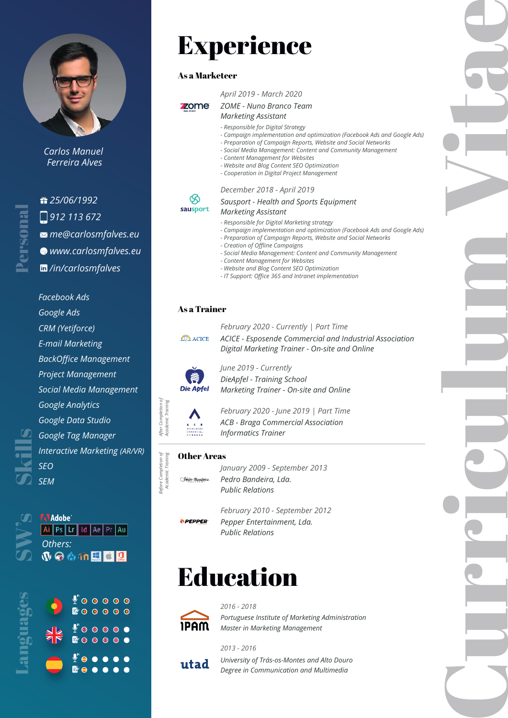

*Carlos Manuel Ferreira Alves*

## *25/06/1992 912 113 672 me@carlosmfalves.eu www.carlosmfalves.eu*

*/in/carlosmfalves*

*Facebook Ads*

*Google Ads CRM (Yetiforce)*

*E-mail Marketing*

*BackOffice Management*

*Project Management*

*Social Media Management Google Analytics*

*Google Data Studio Google Tag Manager Interactive Marketing (AR/VR) SEO*

Languages Personal

Skills

*SEM*

**AN Adobe**<br> **AN Ps** Lr Id Ae Pr Au<br>
Others:<br> **W** © © 10 E C Q



# Experience

## As a Marketeer

## *April 2019 - March 2020*

#### zome *ZOME - Nuno Branco Team Marketing Assistant*

- *Responsible for Digital Strategy*
- *Campaign implementation and optimization (Facebook Ads and Google Ads)*
- *Preparation of Campaign Reports, Website and Social Networks - Social Media Management: Content and Community Management*
- *Content Management for Websites*
- 
- *Website and Blog Content SEO Optimization - Cooperation in Digital Project Management*

## *December 2018 - April 2019*

#### *Sausport - Health and Sports Equipment Marketing Assistant*

## sausport

℅

- *Responsible for Digital Marketing strategy*
- *Campaign implementation and optimization (Facebook Ads and Google Ads)*
- *Preparation of Campaign Reports, Website and Social Networks*
- *Creation of Offline Campaigns*
- *Social Media Management: Content and Community Management*
- *Content Management for Websites*
- *Website and Blog Content SEO Optimization*
- *IT Support: Office 365 and Intranet implementation*

## As a Trainer

# **ACICE**

*ACICE - Esposende Commercial and Industrial Association February 2020 - Currently | Part Time Digital Marketing Trainer - On-site and Online*



*DieApfel - Training School June 2019 - Currently Marketing Trainer - On-site and Online*



*After Completion of Academic Training*

After Completion of<br>Academic Training

*Before Completion of Academic Training*

Before Completion of

*ACB - Braga Commercial Association February 2020 - June 2019 | Part Time Informatics Trainer*

## Other Areas

- (Pedro Bandeira
- *Pedro Bandeira, Lda. January 2009 - September 2013 Public Relations*



*Pepper Entertainment, Lda. February 2010 - September 2012 Public Relations*

# Education



*Portuguese Institute of Marketing Administration 2016 - 2018 Master in Marketing Management*



*University of Trás-os-Montes and Alto Douro 2013 - 2016 Degree in Communication and Multimedia*

Curriculum Vitae